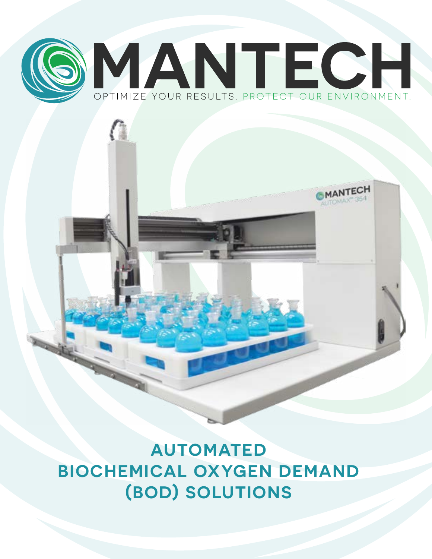

**AUTOMATED BIOCHEMICAL OXYGEN DEMAND (BOD) SOLUTIONS**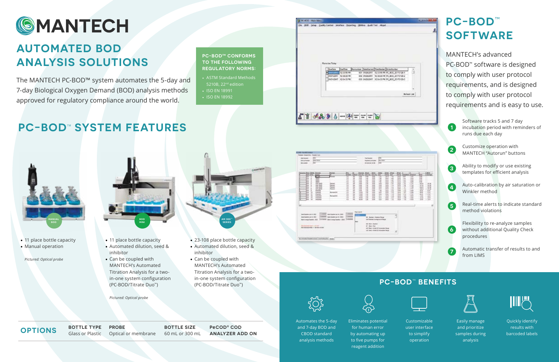## **PC-BOD**™ **SOFTWARE**

MANTECH's advanced PC-BOD<sup>™</sup> software is designed to comply with user protocol requirements, and is designed to comply with user protocol requirements and is easy to use.

> Software tracks 5 and 7 day incubation period with reminders of runs due each day

Customize operation with MANTECH "Autorun" buttons

Ability to modify or use existing templates for efficient analysis

Auto-calibration by air saturation or Winkler method

• ASTM Standard Methods 5210B, 22<sup>nd</sup> edition

> Real-time alerts to indicate standard method violations

**PROBE** Optical or membrane **BOTTLE TYPE** Glass or Plastic **BOTTLE TYPE** PROBE BOTTLE SIZE<br>
Glass or Plastic Optical or membrane 60 mL or 300 mL

Flexibility to re-analyze samples without additional Quality Check procedures

• 11 place bottle capacity • Manual operation

Automatic transfer of results to and from LIMS



## **AUTOMATED BOD ANALYSIS SOLUTIONS**

- 11 place bottle capacity
- Automated dilution, seed & inhibitor
- Can be coupled with MANTECH's Automated Titration Analysis for a twoin-one system configuration (PC-BOD/Titrate Duo™)

The MANTECH PC-BOD™ system automates the 5-day and 7-day Biological Oxygen Demand (BOD) analysis methods approved for regulatory compliance around the world.

**PC-BOD<sup>™</sup> SYSTEM FEATURES** 

**AM 300™ SERIES**

**PC-BOD™ CONFORMS TO THE FOLLOWING REGULATORY NORMS:**



| <b>ICS-Textil Maue</b><br>Insura Vasca Liny, Tesma nun<br>HF+<br>seatiments:<br><b>MALKWAY</b><br>Linker Harry<br>m.<br><b>Die verden:</b>                                                                                                                                                                                                                         |                                                                                                  |                                                                    |                                                                                                          | <b>Fourtherney</b><br>fed description date<br><b>BECOMMY SERIE</b>                  |                                                                                                                                                                              |                                                                                                        | m<br>36,799<br>œ                                                                                                                           |                                                                                                      |                                                                                                                 |                                                                                        |                            |  |
|--------------------------------------------------------------------------------------------------------------------------------------------------------------------------------------------------------------------------------------------------------------------------------------------------------------------------------------------------------------------|--------------------------------------------------------------------------------------------------|--------------------------------------------------------------------|----------------------------------------------------------------------------------------------------------|-------------------------------------------------------------------------------------|------------------------------------------------------------------------------------------------------------------------------------------------------------------------------|--------------------------------------------------------------------------------------------------------|--------------------------------------------------------------------------------------------------------------------------------------------|------------------------------------------------------------------------------------------------------|-----------------------------------------------------------------------------------------------------------------|----------------------------------------------------------------------------------------|----------------------------|--|
| ent Bay Bills Henry<br><b>SCAR</b><br>ᇠ<br>w<br>ш<br>m<br>m<br><b>NA BIG</b><br>Facer<br>ш<br>Faced<br><b>MA  2010</b><br>щ<br>Farme<br><b>STAC BORS</b><br>Passed<br>m<br>siy, and<br>щ<br>Playe AD<br>b<br>ū<br>l.<br><b>Hake</b><br><b>Bone</b> (24)<br>$_{11}$<br><b>Hakkt</b><br><b>Burner</b> (Inf.<br>ü<br>m<br><b>MARINE</b><br>E<br>11.04<br>×<br>w<br>w. | v.<br>w<br><b>U</b><br>$\overline{18}$<br>1.<br>ü<br>4.4<br><b>KB</b><br>冒口<br>1.0<br>1.0<br>t i | u<br>u<br>u<br>m<br>ш<br>ha<br>ш<br>u<br>is.<br>is.<br>w<br>w<br>₩ | т<br>3.66<br>$+14$<br>謂<br>諎<br>18.04<br><b>H.M</b><br>$-16$<br><b>HIM</b><br>68<br><b>Hill</b><br>er so | i.<br>im<br>iж<br>1.36<br>這<br>iii<br>ш<br>1.9<br>1.16<br>LIB<br>isi<br><b>Like</b> | faction 1992-1994; 1994;<br>ш<br>336<br>in bit<br><b>ISB</b><br>944<br>Ш<br>m<br>in and<br><b>U.DE</b><br>m<br>11<br>m<br>$\cdots$                                           | 19<br>$+10$<br>THE<br>m<br>譡<br>Exp.<br><b>Call</b><br>610<br>516<br>ACT.<br><b>ROA</b><br><b>Link</b> | xx<br><b>Hill</b><br><b>HH</b><br>16.46<br>14, 26<br>$-100$<br>ma<br>29.95<br>19.95<br><b>DO</b><br><b>DO</b><br>決認<br>1.4.30<br><b>HE</b> | 微一部<br>тж<br>48<br>$+8$<br>v.le<br>180<br>1.38<br>14<br>1.6<br><b>Link</b><br>D<br>1.5<br>34<br>(iv) | 龠<br>ъx<br><b>B</b> at<br>2H<br>3H<br>32<br>誀<br>an<br>24<br>31.4<br>314<br>22.8<br><b>Birth</b><br><b>Sing</b> | 3386<br><b>List</b><br><b>Call</b><br>e<br>ß.<br>3 and<br>140<br>4.56<br>XB.<br>徂<br>× | ×<br>×<br>s<br>u<br>Ĩ<br>ű |  |
| Institutence as the \$100<br>lined Elgeblet cap to 1983.<br>Sele Detection at 1810<br>Scheftspreise per to - 805<br><b>Surrented</b><br>Bon manage banked - 2010<br><b>Bank or a must freedom  2010</b><br>\$100 Discolaries want up \$7.500 - 1.1.1<br>\$10 September 2014 11 120 Street 21 Std.<br>by the analytical price of contrasts with the con-            | Lowered II<br><b>Limited</b><br><b>School Security</b>                                           |                                                                    | Past course                                                                                              |                                                                                     | IX Senat: Executives<br>Earl Destant cluyrage sur of Aman<br><b>BR Bell-States</b><br>at Box-Real<br>still Back Arizes St Consension News<br>USI Sed. 4140 12 brighter heart |                                                                                                        |                                                                                                                                            |                                                                                                      | ð<br>븨                                                                                                          |                                                                                        |                            |  |



- ISO EN 18991
- ISO EN 18992

**1**

**2**

**3**

**4**

**5**

**6**

**7**



*Pictured: Optical probe*

*Pictured: Optical probe*

- 23-108 place bottle capacity
- Automated dilution, seed & inhibitor
- Can be coupled with MANTECH's Automated (PC-BOD/Titrate Duo™)

Titration Analysis for a twoin-one system configuration



### **PC-BOD**™ **BENEFITS**



or by Blue

11122223 strassing

#### Automates the 5-day and 7-day BOD and CBOD standard analysis methods Eliminates potential for human error by automating up to five pumps for reagent addition

Customizable user interface to simplify operation



Easily manage and prioritize samples during analysis



Quickly identify results with barcoded labels

**PeCOD® COD ANALYZER ADD ON**